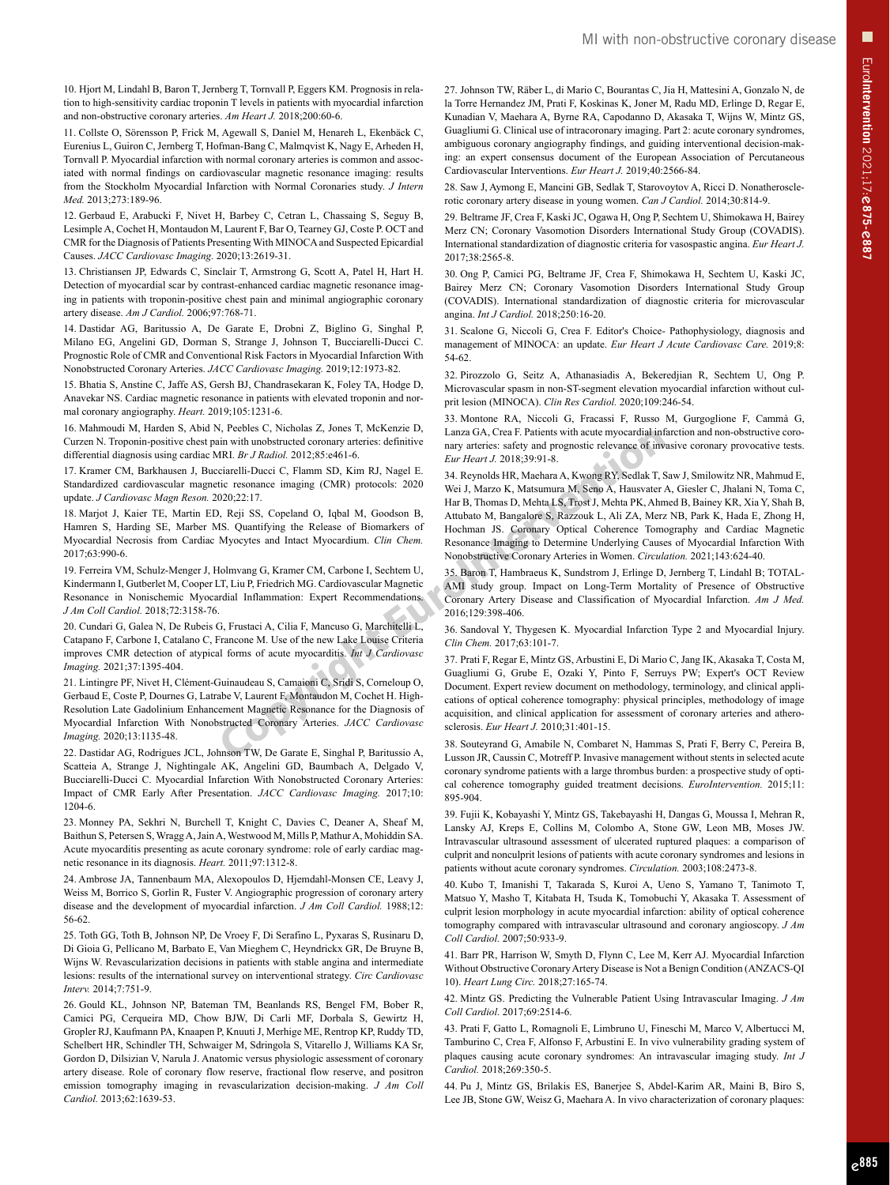10. Hjort M, Lindahl B, Baron T, Jernberg T, Tornvall P, Eggers KM. Prognosis in relation to high-sensitivity cardiac troponin T levels in patients with myocardial infarction and non-obstructive coronary arteries. *Am Heart J.* 2018;200:60-6. 11. Collste O, Sörensson P, Frick M, Agewall S, Daniel M, Henareh L, Ekenbäck C,

Eurenius L, Guiron C, Jernberg T, Hofman-Bang C, Malmqvist K, Nagy E, Arheden H, Tornvall P. Myocardial infarction with normal coronary arteries is common and associated with normal findings on cardiovascular magnetic resonance imaging: results from the Stockholm Myocardial Infarction with Normal Coronaries study. *J Intern Med.* 2013;273:189-96.

12. Gerbaud E, Arabucki F, Nivet H, Barbey C, Cetran L, Chassaing S, Seguy B, Lesimple A, Cochet H, Montaudon M, Laurent F, Bar O, Tearney GJ, Coste P. OCT and CMR for the Diagnosis of Patients Presenting With MINOCA and Suspected Epicardial Causes. *JACC Cardiovasc Imaging.* 2020;13:2619-31.

13. Christiansen JP, Edwards C, Sinclair T, Armstrong G, Scott A, Patel H, Hart H. Detection of myocardial scar by contrast-enhanced cardiac magnetic resonance imaging in patients with troponin-positive chest pain and minimal angiographic coronary artery disease. *Am J Cardiol.* 2006;97:768-71.

14. Dastidar AG, Baritussio A, De Garate E, Drobni Z, Biglino G, Singhal P, Milano EG, Angelini GD, Dorman S, Strange J, Johnson T, Bucciarelli-Ducci C. Prognostic Role of CMR and Conventional Risk Factors in Myocardial Infarction With Nonobstructed Coronary Arteries. *JACC Cardiovasc Imaging.* 2019;12:1973-82.

15. Bhatia S, Anstine C, Jaffe AS, Gersh BJ, Chandrasekaran K, Foley TA, Hodge D, Anavekar NS. Cardiac magnetic resonance in patients with elevated troponin and normal coronary angiography. *Heart.* 2019;105:1231-6.

16. Mahmoudi M, Harden S, Abid N, Peebles C, Nicholas Z, Jones T, McKenzie D, Curzen N. Troponin-positive chest pain with unobstructed coronary arteries: definitive differential diagnosis using cardiac MRI. *Br J Radiol.* 2012;85:e461-6.

17. Kramer CM, Barkhausen J, Bucciarelli-Ducci C, Flamm SD, Kim RJ, Nagel E. Standardized cardiovascular magnetic resonance imaging (CMR) protocols: 2020 update. *J Cardiovasc Magn Reson.* 2020;22:17.

18. Marjot J, Kaier TE, Martin ED, Reji SS, Copeland O, Iqbal M, Goodson B, Hamren S, Harding SE, Marber MS. Quantifying the Release of Biomarkers of Myocardial Necrosis from Cardiac Myocytes and Intact Myocardium. *Clin Chem.* 2017;63:990-6.

19. Ferreira VM, Schulz-Menger J, Holmvang G, Kramer CM, Carbone I, Sechtem U, Kindermann I, Gutberlet M, Cooper LT, Liu P, Friedrich MG. Cardiovascular Magnetic Resonance in Nonischemic Myocardial Inflammation: Expert Recommendations. *J Am Coll Cardiol.* 2018;72:3158-76.

20. Cundari G, Galea N, De Rubeis G, Frustaci A, Cilia F, Mancuso G, Marchitelli L, Catapano F, Carbone I, Catalano C, Francone M. Use of the new Lake Louise Criteria improves CMR detection of atypical forms of acute myocarditis. *Int J Cardiovasc Imaging.* 2021;37:1395-404.

21. Lintingre PF, Nivet H, Clément-Guinaudeau S, Camaioni C, Sridi S, Corneloup O, Gerbaud E, Coste P, Dournes G, Latrabe V, Laurent F, Montaudon M, Cochet H. High-Resolution Late Gadolinium Enhancement Magnetic Resonance for the Diagnosis of Myocardial Infarction With Nonobstructed Coronary Arteries. *JACC Cardiovasc Imaging.* 2020;13:1135-48.

22. Dastidar AG, Rodrigues JCL, Johnson TW, De Garate E, Singhal P, Baritussio A, Scatteia A, Strange J, Nightingale AK, Angelini GD, Baumbach A, Delgado V, Bucciarelli-Ducci C. Myocardial Infarction With Nonobstructed Coronary Arteries: Impact of CMR Early After Presentation. *JACC Cardiovasc Imaging.* 2017;10: 1204-6.

23. Monney PA, Sekhri N, Burchell T, Knight C, Davies C, Deaner A, Sheaf M, Baithun S, Petersen S, Wragg A, Jain A, Westwood M, Mills P, Mathur A, Mohiddin SA. Acute myocarditis presenting as acute coronary syndrome: role of early cardiac magnetic resonance in its diagnosis. *Heart.* 2011;97:1312-8.

24. Ambrose JA, Tannenbaum MA, Alexopoulos D, Hjemdahl-Monsen CE, Leavy J, Weiss M, Borrico S, Gorlin R, Fuster V. Angiographic progression of coronary artery disease and the development of myocardial infarction. *J Am Coll Cardiol.* 1988;12: 56-62.

25. Toth GG, Toth B, Johnson NP, De Vroey F, Di Serafino L, Pyxaras S, Rusinaru D, Di Gioia G, Pellicano M, Barbato E, Van Mieghem C, Heyndrickx GR, De Bruyne B, Wijns W. Revascularization decisions in patients with stable angina and intermediate lesions: results of the international survey on interventional strategy. *Circ Cardiovasc Interv.* 2014;7:751-9.

26. Gould KL, Johnson NP, Bateman TM, Beanlands RS, Bengel FM, Bober R, Camici PG, Cerqueira MD, Chow BJW, Di Carli MF, Dorbala S, Gewirtz H, Gropler RJ, Kaufmann PA, Knaapen P, Knuuti J, Merhige ME, Rentrop KP, Ruddy TD, Schelbert HR, Schindler TH, Schwaiger M, Sdringola S, Vitarello J, Williams KA Sr, Gordon D, Dilsizian V, Narula J. Anatomic versus physiologic assessment of coronary artery disease. Role of coronary flow reserve, fractional flow reserve, and positron emission tomography imaging in revascularization decision-making. *J Am Coll Cardiol.* 2013;62:1639-53.

27. Johnson TW, Räber L, di Mario C, Bourantas C, Jia H, Mattesini A, Gonzalo N, de la Torre Hernandez JM, Prati F, Koskinas K, Joner M, Radu MD, Erlinge D, Regar E, Kunadian V, Maehara A, Byrne RA, Capodanno D, Akasaka T, Wijns W, Mintz GS, Guagliumi G. Clinical use of intracoronary imaging. Part 2: acute coronary syndromes, ambiguous coronary angiography findings, and guiding interventional decision-making: an expert consensus document of the European Association of Percutaneous Cardiovascular Interventions. *Eur Heart J.* 2019;40:2566-84.

28. Saw J, Aymong E, Mancini GB, Sedlak T, Starovoytov A, Ricci D. Nonatherosclerotic coronary artery disease in young women. *Can J Cardiol.* 2014;30:814-9.

29. Beltrame JF, Crea F, Kaski JC, Ogawa H, Ong P, Sechtem U, Shimokawa H, Bairey Merz CN; Coronary Vasomotion Disorders International Study Group (COVADIS). International standardization of diagnostic criteria for vasospastic angina. *Eur Heart J.* 2017;38:2565-8.

30. Ong P, Camici PG, Beltrame JF, Crea F, Shimokawa H, Sechtem U, Kaski JC, Bairey Merz CN; Coronary Vasomotion Disorders International Study Group (COVADIS). International standardization of diagnostic criteria for microvascular angina. *Int J Cardiol.* 2018;250:16-20.

31. Scalone G, Niccoli G, Crea F. Editor's Choice- Pathophysiology, diagnosis and management of MINOCA: an update. *Eur Heart J Acute Cardiovasc Care.* 2019;8: 54-62.

32. Pirozzolo G, Seitz A, Athanasiadis A, Bekeredjian R, Sechtem U, Ong P. Microvascular spasm in non-ST-segment elevation myocardial infarction without culprit lesion (MINOCA). *Clin Res Cardiol.* 2020;109:246-54.

33. Montone RA, Niccoli G, Fracassi F, Russo M, Gurgoglione F, Cammà G, Lanza GA, Crea F. Patients with acute myocardial infarction and non-obstructive coronary arteries: safety and prognostic relevance of invasive coronary provocative tests. *Eur Heart J.* 2018;39:91-8.

34. Reynolds HR, Maehara A, Kwong RY, Sedlak T, Saw J, Smilowitz NR, Mahmud E, Wei J, Marzo K, Matsumura M, Seno A, Hausvater A, Giesler C, Jhalani N, Toma C, Har B, Thomas D, Mehta LS, Trost J, Mehta PK, Ahmed B, Bainey KR, Xia Y, Shah B, Attubato M, Bangalore S, Razzouk L, Ali ZA, Merz NB, Park K, Hada E, Zhong H, Hochman JS. Coronary Optical Coherence Tomography and Cardiac Magnetic Resonance Imaging to Determine Underlying Causes of Myocardial Infarction With Nonobstructive Coronary Arteries in Women. *Circulation.* 2021;143:624-40.

35. Baron T, Hambraeus K, Sundstrom J, Erlinge D, Jernberg T, Lindahl B; TOTAL-AMI study group. Impact on Long-Term Mortality of Presence of Obstructive Coronary Artery Disease and Classification of Myocardial Infarction. *Am J Med.* 2016;129:398-406.

36. Sandoval Y, Thygesen K. Myocardial Infarction Type 2 and Myocardial Injury. *Clin Chem.* 2017;63:101-7.

37. Prati F, Regar E, Mintz GS, Arbustini E, Di Mario C, Jang IK, Akasaka T, Costa M, Guagliumi G, Grube E, Ozaki Y, Pinto F, Serruys PW; Expert's OCT Review Document. Expert review document on methodology, terminology, and clinical applications of optical coherence tomography: physical principles, methodology of image acquisition, and clinical application for assessment of coronary arteries and atherosclerosis. *Eur Heart J.* 2010;31:401-15.

38. Souteyrand G, Amabile N, Combaret N, Hammas S, Prati F, Berry C, Pereira B, Lusson JR, Caussin C, Motreff P. Invasive management without stents in selected acute coronary syndrome patients with a large thrombus burden: a prospective study of optical coherence tomography guided treatment decisions. *EuroIntervention.* 2015;11: 895-904.

39. Fujii K, Kobayashi Y, Mintz GS, Takebayashi H, Dangas G, Moussa I, Mehran R, Lansky AJ, Kreps E, Collins M, Colombo A, Stone GW, Leon MB, Moses JW. Intravascular ultrasound assessment of ulcerated ruptured plaques: a comparison of culprit and nonculprit lesions of patients with acute coronary syndromes and lesions in patients without acute coronary syndromes. *Circulation.* 2003;108:2473-8.

40. Kubo T, Imanishi T, Takarada S, Kuroi A, Ueno S, Yamano T, Tanimoto T, Matsuo Y, Masho T, Kitabata H, Tsuda K, Tomobuchi Y, Akasaka T. Assessment of culprit lesion morphology in acute myocardial infarction: ability of optical coherence tomography compared with intravascular ultrasound and coronary angioscopy. *J Am Coll Cardiol.* 2007;50:933-9.

41. Barr PR, Harrison W, Smyth D, Flynn C, Lee M, Kerr AJ. Myocardial Infarction Without Obstructive Coronary Artery Disease is Not a Benign Condition (ANZACS-QI 10). *Heart Lung Circ.* 2018;27:165-74.

42. Mintz GS. Predicting the Vulnerable Patient Using Intravascular Imaging. *J Am Coll Cardiol.* 2017;69:2514-6.

43. Prati F, Gatto L, Romagnoli E, Limbruno U, Fineschi M, Marco V, Albertucci M, Tamburino C, Crea F, Alfonso F, Arbustini E. In vivo vulnerability grading system of plaques causing acute coronary syndromes: An intravascular imaging study. *Int J Cardiol.* 2018;269:350-5.

44. Pu J, Mintz GS, Brilakis ES, Banerjee S, Abdel-Karim AR, Maini B, Biro S, Lee JB, Stone GW, Weisz G, Maehara A. In vivo characterization of coronary plaques: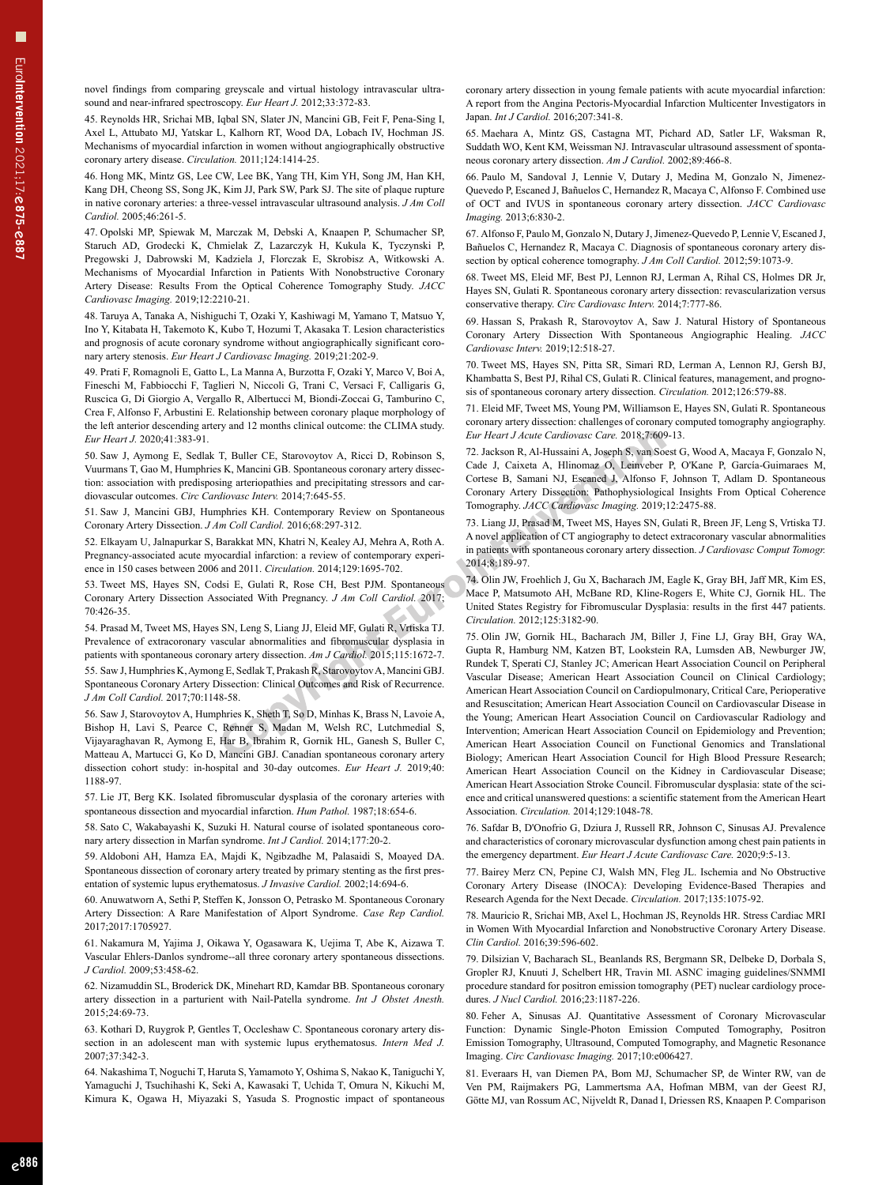П

novel findings from comparing greyscale and virtual histology intravascular ultrasound and near-infrared spectroscopy. *Eur Heart J.* 2012;33:372-83.

45. Reynolds HR, Srichai MB, Iqbal SN, Slater JN, Mancini GB, Feit F, Pena-Sing I, Axel L, Attubato MJ, Yatskar L, Kalhorn RT, Wood DA, Lobach IV, Hochman JS. Mechanisms of myocardial infarction in women without angiographically obstructive coronary artery disease. *Circulation.* 2011;124:1414-25.

46. Hong MK, Mintz GS, Lee CW, Lee BK, Yang TH, Kim YH, Song JM, Han KH, Kang DH, Cheong SS, Song JK, Kim JJ, Park SW, Park SJ. The site of plaque rupture in native coronary arteries: a three-vessel intravascular ultrasound analysis. *J Am Coll Cardiol.* 2005;46:261-5.

47. Opolski MP, Spiewak M, Marczak M, Debski A, Knaapen P, Schumacher SP, Staruch AD, Grodecki K, Chmielak Z, Lazarczyk H, Kukula K, Tyczynski P, Pregowski J, Dabrowski M, Kadziela J, Florczak E, Skrobisz A, Witkowski A. Mechanisms of Myocardial Infarction in Patients With Nonobstructive Coronary Artery Disease: Results From the Optical Coherence Tomography Study. *JACC Cardiovasc Imaging.* 2019;12:2210-21.

48. Taruya A, Tanaka A, Nishiguchi T, Ozaki Y, Kashiwagi M, Yamano T, Matsuo Y, Ino Y, Kitabata H, Takemoto K, Kubo T, Hozumi T, Akasaka T. Lesion characteristics and prognosis of acute coronary syndrome without angiographically significant coronary artery stenosis. *Eur Heart J Cardiovasc Imaging.* 2019;21:202-9.

49. Prati F, Romagnoli E, Gatto L, La Manna A, Burzotta F, Ozaki Y, Marco V, Boi A, Fineschi M, Fabbiocchi F, Taglieri N, Niccoli G, Trani C, Versaci F, Calligaris G, Ruscica G, Di Giorgio A, Vergallo R, Albertucci M, Biondi-Zoccai G, Tamburino C, Crea F, Alfonso F, Arbustini E. Relationship between coronary plaque morphology of the left anterior descending artery and 12 months clinical outcome: the CLIMA study. *Eur Heart J.* 2020;41:383-91.

50. Saw J, Aymong E, Sedlak T, Buller CE, Starovoytov A, Ricci D, Robinson S, Vuurmans T, Gao M, Humphries K, Mancini GB. Spontaneous coronary artery dissection: association with predisposing arteriopathies and precipitating stressors and cardiovascular outcomes. *Circ Cardiovasc Interv.* 2014;7:645-55.

51. Saw J, Mancini GBJ, Humphries KH. Contemporary Review on Spontaneous Coronary Artery Dissection. *J Am Coll Cardiol.* 2016;68:297-312.

52. Elkayam U, Jalnapurkar S, Barakkat MN, Khatri N, Kealey AJ, Mehra A, Roth A. Pregnancy-associated acute myocardial infarction: a review of contemporary experience in 150 cases between 2006 and 2011. *Circulation.* 2014;129:1695-702.

53. Tweet MS, Hayes SN, Codsi E, Gulati R, Rose CH, Best PJM. Spontaneous Coronary Artery Dissection Associated With Pregnancy. *J Am Coll Cardiol.* 2017; 70:426-35.

54. Prasad M, Tweet MS, Hayes SN, Leng S, Liang JJ, Eleid MF, Gulati R, Vrtiska TJ. Prevalence of extracoronary vascular abnormalities and fibromuscular dysplasia in patients with spontaneous coronary artery dissection. *Am J Cardiol.* 2015;115:1672-7.

55. Saw J, Humphries K, Aymong E, Sedlak T, Prakash R, Starovoytov A, Mancini GBJ. Spontaneous Coronary Artery Dissection: Clinical Outcomes and Risk of Recurrence. *J Am Coll Cardiol.* 2017;70:1148-58.

56. Saw J, Starovoytov A, Humphries K, Sheth T, So D, Minhas K, Brass N, Lavoie A, Bishop H, Lavi S, Pearce C, Renner S, Madan M, Welsh RC, Lutchmedial S, Vijayaraghavan R, Aymong E, Har B, Ibrahim R, Gornik HL, Ganesh S, Buller C, Matteau A, Martucci G, Ko D, Mancini GBJ. Canadian spontaneous coronary artery dissection cohort study: in-hospital and 30-day outcomes. *Eur Heart J.* 2019;40: 1188-97.

57. Lie JT, Berg KK. Isolated fibromuscular dysplasia of the coronary arteries with spontaneous dissection and myocardial infarction. *Hum Pathol.* 1987;18:654-6.

58. Sato C, Wakabayashi K, Suzuki H. Natural course of isolated spontaneous coronary artery dissection in Marfan syndrome. *Int J Cardiol.* 2014;177:20-2.

59. Aldoboni AH, Hamza EA, Majdi K, Ngibzadhe M, Palasaidi S, Moayed DA. Spontaneous dissection of coronary artery treated by primary stenting as the first presentation of systemic lupus erythematosus. *J Invasive Cardiol.* 2002;14:694-6.

60. Anuwatworn A, Sethi P, Steffen K, Jonsson O, Petrasko M. Spontaneous Coronary Artery Dissection: A Rare Manifestation of Alport Syndrome. *Case Rep Cardiol.* 2017;2017:1705927.

61. Nakamura M, Yajima J, Oikawa Y, Ogasawara K, Uejima T, Abe K, Aizawa T. Vascular Ehlers-Danlos syndrome--all three coronary artery spontaneous dissections. *J Cardiol.* 2009;53:458-62.

62. Nizamuddin SL, Broderick DK, Minehart RD, Kamdar BB. Spontaneous coronary artery dissection in a parturient with Nail-Patella syndrome. *Int J Obstet Anesth.* 2015;24:69-73.

63. Kothari D, Ruygrok P, Gentles T, Occleshaw C. Spontaneous coronary artery dissection in an adolescent man with systemic lupus erythematosus. *Intern Med J.* 2007;37:342-3.

64. Nakashima T, Noguchi T, Haruta S, Yamamoto Y, Oshima S, Nakao K, Taniguchi Y, Yamaguchi J, Tsuchihashi K, Seki A, Kawasaki T, Uchida T, Omura N, Kikuchi M, Kimura K, Ogawa H, Miyazaki S, Yasuda S. Prognostic impact of spontaneous coronary artery dissection in young female patients with acute myocardial infarction: A report from the Angina Pectoris-Myocardial Infarction Multicenter Investigators in Japan. *Int J Cardiol.* 2016;207:341-8.

65. Maehara A, Mintz GS, Castagna MT, Pichard AD, Satler LF, Waksman R, Suddath WO, Kent KM, Weissman NJ. Intravascular ultrasound assessment of spontaneous coronary artery dissection. *Am J Cardiol.* 2002;89:466-8.

66. Paulo M, Sandoval J, Lennie V, Dutary J, Medina M, Gonzalo N, Jimenez-Quevedo P, Escaned J, Bañuelos C, Hernandez R, Macaya C, Alfonso F. Combined use of OCT and IVUS in spontaneous coronary artery dissection. *JACC Cardiovasc Imaging.* 2013;6:830-2.

67. Alfonso F, Paulo M, Gonzalo N, Dutary J, Jimenez-Quevedo P, Lennie V, Escaned J, Bañuelos C, Hernandez R, Macaya C. Diagnosis of spontaneous coronary artery dissection by optical coherence tomography. *J Am Coll Cardiol.* 2012;59:1073-9.

68. Tweet MS, Eleid MF, Best PJ, Lennon RJ, Lerman A, Rihal CS, Holmes DR Jr, Hayes SN, Gulati R. Spontaneous coronary artery dissection: revascularization versus conservative therapy. *Circ Cardiovasc Interv.* 2014;7:777-86.

69. Hassan S, Prakash R, Starovoytov A, Saw J. Natural History of Spontaneous Coronary Artery Dissection With Spontaneous Angiographic Healing. *JACC Cardiovasc Interv.* 2019;12:518-27.

70. Tweet MS, Hayes SN, Pitta SR, Simari RD, Lerman A, Lennon RJ, Gersh BJ, Khambatta S, Best PJ, Rihal CS, Gulati R. Clinical features, management, and prognosis of spontaneous coronary artery dissection. *Circulation.* 2012;126:579-88.

71. Eleid MF, Tweet MS, Young PM, Williamson E, Hayes SN, Gulati R. Spontaneous coronary artery dissection: challenges of coronary computed tomography angiography. *Eur Heart J Acute Cardiovasc Care.* 2018;7:609-13.

72. Jackson R, Al-Hussaini A, Joseph S, van Soest G, Wood A, Macaya F, Gonzalo N, Cade J, Caixeta A, Hlinomaz O, Leinveber P, O'Kane P, García-Guimaraes M, Cortese B, Samani NJ, Escaned J, Alfonso F, Johnson T, Adlam D. Spontaneous Coronary Artery Dissection: Pathophysiological Insights From Optical Coherence Tomography. *JACC Cardiovasc Imaging.* 2019;12:2475-88.

73. Liang JJ, Prasad M, Tweet MS, Hayes SN, Gulati R, Breen JF, Leng S, Vrtiska TJ. A novel application of CT angiography to detect extracoronary vascular abnormalities in patients with spontaneous coronary artery dissection. *J Cardiovasc Comput Tomogr.* 2014;8:189-97.

74. Olin JW, Froehlich J, Gu X, Bacharach JM, Eagle K, Gray BH, Jaff MR, Kim ES, Mace P, Matsumoto AH, McBane RD, Kline-Rogers E, White CJ, Gornik HL. The United States Registry for Fibromuscular Dysplasia: results in the first 447 patients. *Circulation.* 2012;125:3182-90.

75. Olin JW, Gornik HL, Bacharach JM, Biller J, Fine LJ, Gray BH, Gray WA, Gupta R, Hamburg NM, Katzen BT, Lookstein RA, Lumsden AB, Newburger JW, Rundek T, Sperati CJ, Stanley JC; American Heart Association Council on Peripheral Vascular Disease; American Heart Association Council on Clinical Cardiology; American Heart Association Council on Cardiopulmonary, Critical Care, Perioperative and Resuscitation; American Heart Association Council on Cardiovascular Disease in the Young; American Heart Association Council on Cardiovascular Radiology and Intervention; American Heart Association Council on Epidemiology and Prevention; American Heart Association Council on Functional Genomics and Translational Biology; American Heart Association Council for High Blood Pressure Research; American Heart Association Council on the Kidney in Cardiovascular Disease; American Heart Association Stroke Council. Fibromuscular dysplasia: state of the science and critical unanswered questions: a scientific statement from the American Heart Association. *Circulation.* 2014;129:1048-78.

76. Safdar B, D'Onofrio G, Dziura J, Russell RR, Johnson C, Sinusas AJ. Prevalence and characteristics of coronary microvascular dysfunction among chest pain patients in the emergency department. *Eur Heart J Acute Cardiovasc Care.* 2020;9:5-13.

77. Bairey Merz CN, Pepine CJ, Walsh MN, Fleg JL. Ischemia and No Obstructive Coronary Artery Disease (INOCA): Developing Evidence-Based Therapies and Research Agenda for the Next Decade. *Circulation.* 2017;135:1075-92.

78. Mauricio R, Srichai MB, Axel L, Hochman JS, Reynolds HR. Stress Cardiac MRI in Women With Myocardial Infarction and Nonobstructive Coronary Artery Disease. *Clin Cardiol.* 2016;39:596-602.

79. Dilsizian V, Bacharach SL, Beanlands RS, Bergmann SR, Delbeke D, Dorbala S, Gropler RJ, Knuuti J, Schelbert HR, Travin MI. ASNC imaging guidelines/SNMMI procedure standard for positron emission tomography (PET) nuclear cardiology procedures. *J Nucl Cardiol.* 2016;23:1187-226.

80. Feher A, Sinusas AJ. Quantitative Assessment of Coronary Microvascular Function: Dynamic Single-Photon Emission Computed Tomography, Positron Emission Tomography, Ultrasound, Computed Tomography, and Magnetic Resonance Imaging. *Circ Cardiovasc Imaging.* 2017;10:e006427.

81. Everaars H, van Diemen PA, Bom MJ, Schumacher SP, de Winter RW, van de Ven PM, Raijmakers PG, Lammertsma AA, Hofman MBM, van der Geest RJ, Götte MJ, van Rossum AC, Nijveldt R, Danad I, Driessen RS, Knaapen P. Comparison